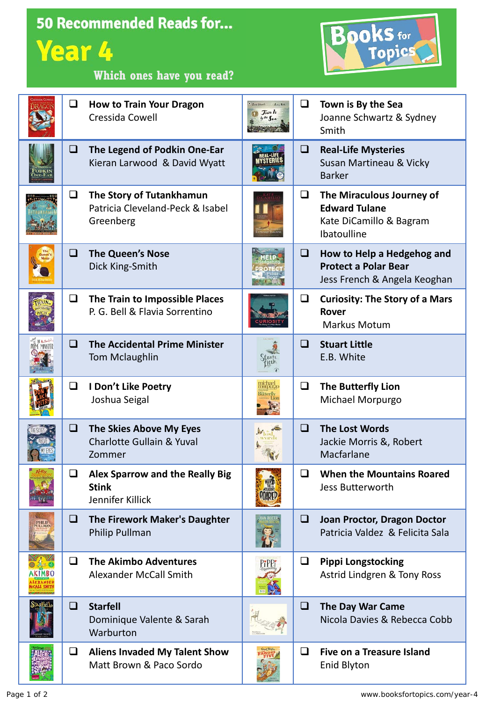|        |        | <b>50 Recommended Reads for</b>                                           |                                                |           |                                                                                             |
|--------|--------|---------------------------------------------------------------------------|------------------------------------------------|-----------|---------------------------------------------------------------------------------------------|
|        | Year 4 |                                                                           |                                                | Books for |                                                                                             |
|        |        | Which ones have you read?                                                 |                                                |           |                                                                                             |
|        | ❏      | <b>How to Train Your Dragon</b><br>Cressida Cowell                        | $f_{\text{obs}}f_{\text{obs}}$<br>$T = 11 - 1$ | Q         | Town is By the Sea<br>Joanne Schwartz & Sydney<br>Smith                                     |
|        | $\Box$ | The Legend of Podkin One-Ear<br>Kieran Larwood & David Wyatt              |                                                | $\Box$    | <b>Real-Life Mysteries</b><br>Susan Martineau & Vicky<br><b>Barker</b>                      |
|        | $\Box$ | The Story of Tutankhamun<br>Patricia Cleveland-Peck & Isabel<br>Greenberg |                                                | ❏         | The Miraculous Journey of<br><b>Edward Tulane</b><br>Kate DiCamillo & Bagram<br>Ibatoulline |
|        | ❏      | <b>The Queen's Nose</b><br>Dick King-Smith                                |                                                | u         | How to Help a Hedgehog and<br><b>Protect a Polar Bear</b><br>Jess French & Angela Keoghan   |
|        | Q      | The Train to Impossible Places<br>P. G. Bell & Flavia Sorrentino          |                                                | ❏         | <b>Curiosity: The Story of a Mars</b><br><b>Rover</b><br><b>Markus Motum</b>                |
|        | ❏      | <b>The Accidental Prime Minister</b><br><b>Tom Mclaughlin</b>             |                                                | $\Box$    | <b>Stuart Little</b><br>E.B. White                                                          |
|        | ❏      | I Don't Like Poetry<br>Joshua Seigal                                      |                                                | $\Box$    | The Butterfly Lion<br>Michael Morpurgo                                                      |
|        | $\Box$ | The Skies Above My Eyes<br><b>Charlotte Gullain &amp; Yuval</b><br>Zommer |                                                | ❏         | <b>The Lost Words</b><br>Jackie Morris &, Robert<br>Macfarlane                              |
|        | ❏      | Alex Sparrow and the Really Big<br><b>Stink</b><br>Jennifer Killick       |                                                | ❏         | <b>When the Mountains Roared</b><br><b>Jess Butterworth</b>                                 |
| PHILIP | Q.     | The Firework Maker's Daughter<br>Philip Pullman                           |                                                | ⊔         | Joan Proctor, Dragon Doctor<br>Patricia Valdez & Felicita Sala                              |
|        | ◻      | <b>The Akimbo Adventures</b><br><b>Alexander McCall Smith</b>             |                                                | $\Box$    | <b>Pippi Longstocking</b><br>Astrid Lindgren & Tony Ross                                    |
|        | ❏      | <b>Starfell</b><br>Dominique Valente & Sarah<br>Warburton                 |                                                | ❏         | <b>The Day War Came</b><br>Nicola Davies & Rebecca Cobb                                     |
|        | ❏      | <b>Aliens Invaded My Talent Show</b><br>Matt Brown & Paco Sordo           |                                                | ப         | <b>Five on a Treasure Island</b><br><b>Enid Blyton</b>                                      |